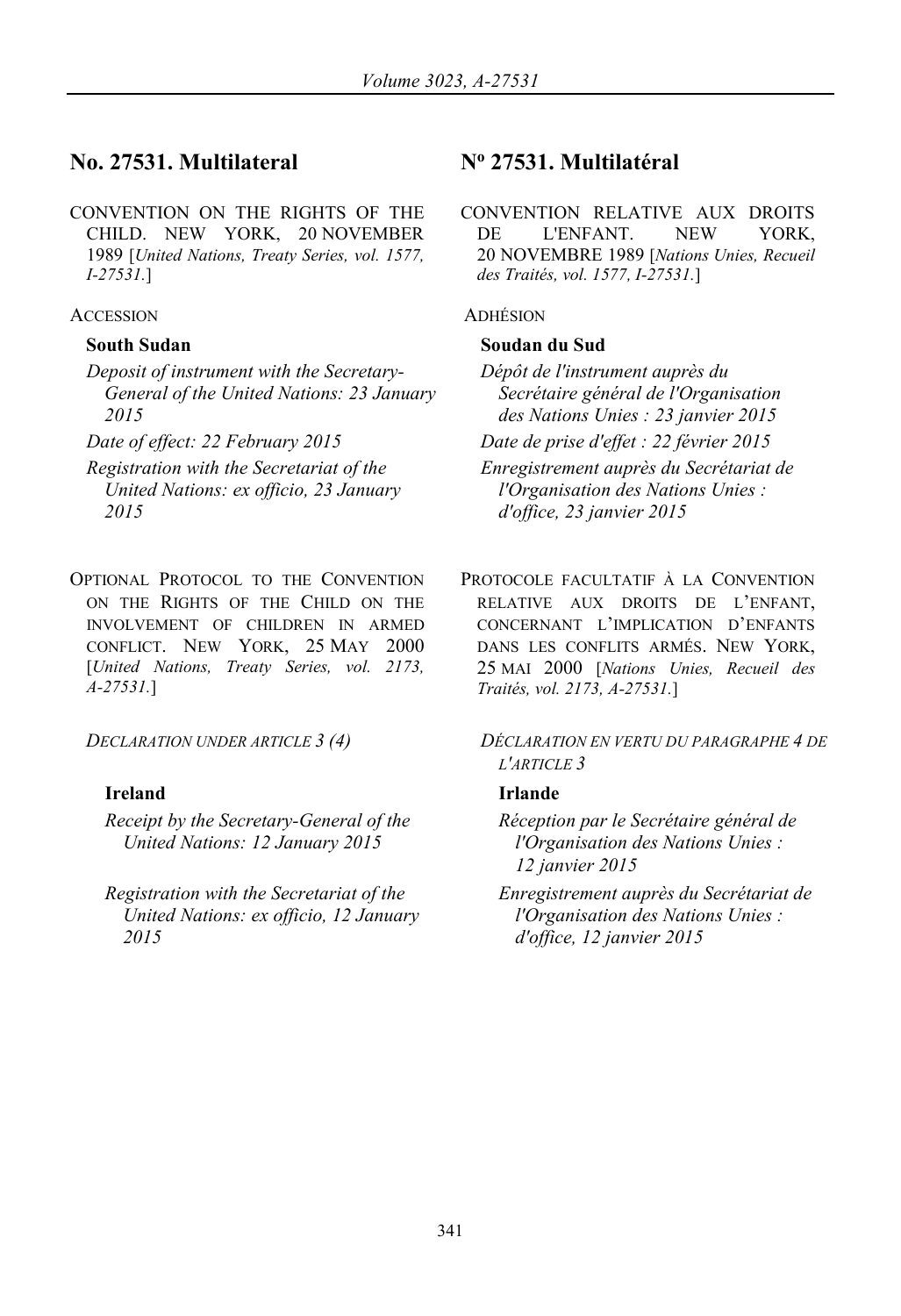# **No. 27531. Multilateral No 27531. Multilatéral**

CONVENTION ON THE RIGHTS OF THE CHILD. NEW YORK, 20 NOVEMBER 1989 [*United Nations, Treaty Series, vol. 1577, I-27531.*]

### ACCESSION ADHÉSION

- *Deposit of instrument with the Secretary-General of the United Nations: 23 January 2015*
- 
- *Registration with the Secretariat of the United Nations: ex officio, 23 January 2015*
- OPTIONAL PROTOCOL TO THE CONVENTION ON THE RIGHTS OF THE CHILD ON THE INVOLVEMENT OF CHILDREN IN ARMED CONFLICT. NEW YORK, 25 MAY 2000 [*United Nations, Treaty Series, vol. 2173, A-27531.*]

# **Ireland Irlande**

- *Receipt by the Secretary-General of the United Nations: 12 January 2015*
- *Registration with the Secretariat of the United Nations: ex officio, 12 January 2015*

CONVENTION RELATIVE AUX DROITS DE L'ENFANT. NEW YORK, 20 NOVEMBRE 1989 [*Nations Unies, Recueil des Traités, vol. 1577, I-27531.*]

## **South Sudan Soudan du Sud**

*Dépôt de l'instrument auprès du Secrétaire général de l'Organisation des Nations Unies : 23 janvier 2015 Date of effect: 22 February 2015 Date de prise d'effet : 22 février 2015 Enregistrement auprès du Secrétariat de l'Organisation des Nations Unies : d'office, 23 janvier 2015*

> PROTOCOLE FACULTATIF À LA CONVENTION RELATIVE AUX DROITS DE L'ENFANT, CONCERNANT L'IMPLICATION D'ENFANTS DANS LES CONFLITS ARMÉS. NEW YORK, 25 MAI 2000 [*Nations Unies, Recueil des Traités, vol. 2173, A-27531.*]

*DECLARATION UNDER ARTICLE 3 (4) DÉCLARATION EN VERTU DU PARAGRAPHE 4 DE L'ARTICLE 3*

*Réception par le Secrétaire général de l'Organisation des Nations Unies : 12 janvier 2015*

*Enregistrement auprès du Secrétariat de l'Organisation des Nations Unies : d'office, 12 janvier 2015*